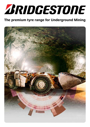

# **The premium tyre range for Underground Mining**

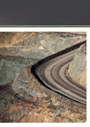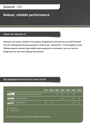### **General** - Info

## **Robust, reliable performance**

### **FROM THE GROUND UP**

**Whatever the surface, whatever the purpose, Bridgestone's premium line-up of Off-The-Road tyres for underground mining operations is built to last - and perform - in the toughest terrain. Offering superior traction, high stability and exceptional cut resistance, you can count on Bridgestone for tyres that really go the distance.** 

#### **RECOMMENDATION FOR EACH APPLICATION**

|                                                                    |  |  |  |  | VCH VCHS VSNT VSNL VSDT VSDL VSMS |   |  |  |  |  |  |
|--------------------------------------------------------------------|--|--|--|--|-----------------------------------|---|--|--|--|--|--|
| Articulated Dump Trucks for Underground                            |  |  |  |  |                                   | П |  |  |  |  |  |
| Load Haul Dumps                                                    |  |  |  |  |                                   |   |  |  |  |  |  |
| Drilling Jumbo                                                     |  |  |  |  |                                   |   |  |  |  |  |  |
| $\checkmark$ = Applicable<br>$=$ Possible to fit                   |  |  |  |  |                                   |   |  |  |  |  |  |
| For your best tyre choice, consult your Bridgesone representative. |  |  |  |  |                                   |   |  |  |  |  |  |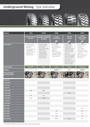## **Underground Mining** - Tyre overview



*\* 4 star rating for Shuttle truck service, 2 star rating for Load Haul Dump service.*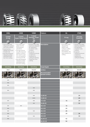

| <b>VSDL</b>                                                                                                                                                                                                           | <b>VSDR</b>                                                                                                                                                                                                                                                                                          | <b>VSMS</b>                                                                                                                                                                                                          | Pattern                       | <b>DL</b>                                                                                                                                           | <b>STMS</b>                                                                                                                                                                           |
|-----------------------------------------------------------------------------------------------------------------------------------------------------------------------------------------------------------------------|------------------------------------------------------------------------------------------------------------------------------------------------------------------------------------------------------------------------------------------------------------------------------------------------------|----------------------------------------------------------------------------------------------------------------------------------------------------------------------------------------------------------------------|-------------------------------|-----------------------------------------------------------------------------------------------------------------------------------------------------|---------------------------------------------------------------------------------------------------------------------------------------------------------------------------------------|
| V-steel<br>D-Lug                                                                                                                                                                                                      | V-steel<br><b>Super Deep Rock</b>                                                                                                                                                                                                                                                                    | V-steel<br>Smooth Tread-<br><b>MS</b>                                                                                                                                                                                |                               | D-Lug                                                                                                                                               | Smooth<br><b>Tread-MS</b>                                                                                                                                                             |
| L5                                                                                                                                                                                                                    | $L5$                                                                                                                                                                                                                                                                                                 | <b>L5S</b>                                                                                                                                                                                                           |                               | L5                                                                                                                                                  | L5S                                                                                                                                                                                   |
| · Extra deep tread<br>designed for severe<br>and rocky surfaces.<br>· Good traction,<br>stability and a com-<br>fortable ride.<br>· Specially designed<br>sidewall provides<br>extended protec-<br>tion from cutting. | · Extra deep rigid<br>pattern for the<br>most extreme<br>operations.<br>. The high-volume,<br>long-life tread and<br>superior construc-<br>tion result in supe-<br>rior cut resistance<br>and long tyre-life.<br>· Specially designed<br>sidewall provides<br>extended protec-<br>tion from cutting. | · Smooth extra deep<br>tread tyre designed<br>for operations<br>on severe rocky<br>surfaces.<br>· Its special<br>compound ensures<br>a maximum<br>resistance to<br>cutting & wearing.<br>Protection from<br>cutting. | <b>Description</b>            | · Extra deep tread<br>designed for<br>severe rocky<br>surfaces. It offers<br>good traction<br>and stability, very<br>high resistance to<br>cutting. | · Smooth extra deep<br>tread tyre designed<br>for operations<br>on severe rocky<br>surfaces.<br>· Its special<br>compound ensures<br>a maximum<br>resistance to<br>cutting & wearing. |
| Extra-Deep                                                                                                                                                                                                            | Extra-Deep                                                                                                                                                                                                                                                                                           | Extra-Deep                                                                                                                                                                                                           | <b>Tread Depth</b>            | Extra-Deep                                                                                                                                          | Extra-Deep                                                                                                                                                                            |
| Rock                                                                                                                                                                                                                  | Rock                                                                                                                                                                                                                                                                                                 | Smooth                                                                                                                                                                                                               | <b>Surface</b>                | Rock                                                                                                                                                | Smooth                                                                                                                                                                                |
|                                                                                                                                                                                                                       |                                                                                                                                                                                                                                                                                                      |                                                                                                                                                                                                                      | Recommended<br>ground surface |                                                                                                                                                     |                                                                                                                                                                                       |
| $\star\star$                                                                                                                                                                                                          |                                                                                                                                                                                                                                                                                                      |                                                                                                                                                                                                                      |                               |                                                                                                                                                     |                                                                                                                                                                                       |
| $\star\star$                                                                                                                                                                                                          |                                                                                                                                                                                                                                                                                                      |                                                                                                                                                                                                                      |                               |                                                                                                                                                     |                                                                                                                                                                                       |
| $\star\star$                                                                                                                                                                                                          |                                                                                                                                                                                                                                                                                                      |                                                                                                                                                                                                                      |                               |                                                                                                                                                     |                                                                                                                                                                                       |
|                                                                                                                                                                                                                       |                                                                                                                                                                                                                                                                                                      | ★★                                                                                                                                                                                                                   |                               |                                                                                                                                                     |                                                                                                                                                                                       |
| $\star\star$                                                                                                                                                                                                          |                                                                                                                                                                                                                                                                                                      | $\star\star$                                                                                                                                                                                                         |                               |                                                                                                                                                     |                                                                                                                                                                                       |
|                                                                                                                                                                                                                       |                                                                                                                                                                                                                                                                                                      |                                                                                                                                                                                                                      |                               |                                                                                                                                                     |                                                                                                                                                                                       |
|                                                                                                                                                                                                                       |                                                                                                                                                                                                                                                                                                      | $\star\star$                                                                                                                                                                                                         | 12.00-24                      |                                                                                                                                                     | 20                                                                                                                                                                                    |
| $\star\star$                                                                                                                                                                                                          |                                                                                                                                                                                                                                                                                                      | ***<br>$\star\star$                                                                                                                                                                                                  | 14.00-24<br>17.5-25           | 16                                                                                                                                                  | 20<br>$20\,$                                                                                                                                                                          |
|                                                                                                                                                                                                                       |                                                                                                                                                                                                                                                                                                      | $\star\star$                                                                                                                                                                                                         | 18.00-25                      |                                                                                                                                                     | 32                                                                                                                                                                                    |
| ★★                                                                                                                                                                                                                    | $\star\star$                                                                                                                                                                                                                                                                                         |                                                                                                                                                                                                                      | 20.5-25                       | 16                                                                                                                                                  |                                                                                                                                                                                       |
| $\star\star$                                                                                                                                                                                                          |                                                                                                                                                                                                                                                                                                      |                                                                                                                                                                                                                      | 23.5-25                       | 20                                                                                                                                                  |                                                                                                                                                                                       |
| $\star\star$                                                                                                                                                                                                          |                                                                                                                                                                                                                                                                                                      | $\star\star$                                                                                                                                                                                                         | 26.5-25                       | 26                                                                                                                                                  |                                                                                                                                                                                       |
| $\star\star$                                                                                                                                                                                                          |                                                                                                                                                                                                                                                                                                      |                                                                                                                                                                                                                      | 29.5-25                       | 28                                                                                                                                                  | 36                                                                                                                                                                                    |
| $\star\star$                                                                                                                                                                                                          |                                                                                                                                                                                                                                                                                                      | $\star\star$                                                                                                                                                                                                         | 29.5-29                       |                                                                                                                                                     | 34                                                                                                                                                                                    |
| $\star\star$                                                                                                                                                                                                          |                                                                                                                                                                                                                                                                                                      |                                                                                                                                                                                                                      | 35/65-33                      | 42                                                                                                                                                  |                                                                                                                                                                                       |
|                                                                                                                                                                                                                       |                                                                                                                                                                                                                                                                                                      |                                                                                                                                                                                                                      | 40/65-39                      | 56                                                                                                                                                  |                                                                                                                                                                                       |
|                                                                                                                                                                                                                       |                                                                                                                                                                                                                                                                                                      |                                                                                                                                                                                                                      |                               |                                                                                                                                                     |                                                                                                                                                                                       |

F.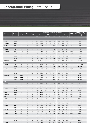# **Underground Mining** - Tyre Line-up

|           |             | Star<br>rating   | <b>Type</b> | <b>TRA</b><br>code | <b>Approximate Inflated Dimensions</b> |           |     |           |     |            |     |            |               | Recommended                 |  |
|-----------|-------------|------------------|-------------|--------------------|----------------------------------------|-----------|-----|-----------|-----|------------|-----|------------|---------------|-----------------------------|--|
| Tyre size | Pattern     |                  |             |                    |                                        | <b>OD</b> |     | <b>OW</b> |     | <b>SLR</b> |     | <b>SLW</b> | <b>OTD</b>    | Rim/Flange Height<br>(inch) |  |
|           |             |                  |             |                    | mm                                     | inch      | mm  | inch      | mm  | inch       | mm  | inch       | $\mathsf{mm}$ |                             |  |
| 15"       |             |                  |             |                    |                                        |           |     |           |     |            |     |            |               |                             |  |
| 8.25 R15  | <b>VSDL</b> | $\star\star$     | T/T         | L5                 | 880                                    | 34,6      | 248 | 9,8       | 405 | 15,9       | 285 | 11,2       | 48            | 6.50T                       |  |
| 10.00 R15 | <b>VSDL</b> | ★★               | T/T         | L5                 | 905                                    | 35,6      | 287 | 11,3      | 416 | 16,4       | 330 | 13         | 48            | 7.50V                       |  |
| 14.5 R15  | <b>VSDL</b> | ★★               | T/L         | L5                 | 899                                    | 35,4      | 359 | 14,1      | 413 | 16,3       | 412 | 16,2       | 48            | 11.00/1.5                   |  |
| 20"       |             |                  |             |                    |                                        |           |     |           |     |            |     |            |               |                             |  |
| 9.00 R20  | <b>VSMS</b> | ★★               | T/T         | L5S                | 1054                                   | 41,5      | 260 | 10,2      | 474 | 18,7       | 303 | 11,9       | 51            | 7.00T                       |  |
| 12.00 R20 | <b>VCH</b>  | ★★★              | T/T         |                    | 1140                                   | 44,9      | 315 | 12,4      | 512 | 20,2       | 360 | 14,2       | 29,5          | 8.50V                       |  |
|           | <b>VCHS</b> | ★★★              | T/T         |                    | 1139                                   | 44,8      | 297 | 11,7      | 507 | 20         | 355 | 14         | 41,5          | 8.50V                       |  |
|           | <b>VSDL</b> | ★★               | T/T         | L5                 | 1168                                   | 46        | 320 | 12,6      | 538 | 21,2       | 359 | 14,1       | 57            | 8.50V                       |  |
|           | <b>VSMS</b> | ★★               | T/T         | L <sub>5</sub> S   | 1173                                   | 43,2      | 312 | 12,3      | 540 | 21,3       | 351 | 13,8       | 57            | 8.50V                       |  |
| 14.00 R20 | <b>VSNL</b> | ★★               | T/T         | L4                 | 1196                                   | 47,1      | 360 | 14,2      | 550 | 21,7       | 414 | 16,3       | 34            | 10.00WI                     |  |
| 24"       |             |                  |             |                    |                                        |           |     |           |     |            |     |            |               |                             |  |
| 12.00-24  | <b>STMS</b> | 20               | T/T         | L5S                | 1275                                   | 50,2      | 321 | 12,6      | 606 | 23,9       | 339 | 13,3       | 55            | 8.5, 8.50V                  |  |
|           | <b>STMS</b> | 20               | T/T         | L <sub>5</sub> S   | 1373                                   | 54,1      | 367 | 14,4      | 646 | 25,4       | 391 | 15,4       | 78            | 10.00W                      |  |
| 12.00 R24 | <b>VCH</b>  | $\star\star$     | T/T         |                    | 1254                                   | 49,4      | 323 | 12,7      | 558 | 22         | 376 | 14,8       | 29,5          | 8.50V                       |  |
|           | <b>VCHS</b> |                  | T/T         |                    | 1263                                   | 49,7      | 310 | 12,2      | 580 | 12,2       | 351 | 13,8       | 42            | 8.50V                       |  |
|           | <b>VSMS</b> | ★★               | T/T         | L <sub>5</sub> S   | 1275                                   | 50,2      | 312 | 12,3      | 573 | 22,6       | 364 | 14,3       | 57            | 8.50V                       |  |
| 14.00 R24 | <b>VCH</b>  | ★★★              | T/T         |                    | 1393                                   | 54,8      | 390 | 15,4      | 610 | 24         | 460 | 18,1       | 32            | 10.00W                      |  |
|           | <b>VCHS</b> | ★★★              | T/T         |                    | 1412                                   | 55,6      | 383 | 15,1      | 626 | 24,6       | 445 | 17,5       | 63            | 10.00W                      |  |
|           | <b>VSMS</b> | ★★★              | T/T         | L5S                | 1394                                   | 54,8      | 390 | 15,4      | 634 | 25         | 437 | 17,2       | 72            | 10.00W                      |  |
| $25"$     |             |                  |             |                    |                                        |           |     |           |     |            |     |            |               |                             |  |
| 17.5-25   | DL.         | 16               | T/L         | L <sub>5</sub>     | 1410                                   | 55,5      | 445 | 17,5      | 656 | 25,8       | 470 | 18,5       | 69,5          | 14.00/1.5                   |  |
|           | <b>STMS</b> | 20               | T/L         | L5S                | 1385                                   | 54,5      | 450 | 17,7      | 645 | 25,4       | 462 | 18,2       | 30,5          | 14.00/1.5                   |  |
| 17.5 R25  | <b>VSDL</b> | ★★               | T/L         | L <sub>5</sub>     | 1400                                   | 55,1      | 440 | 17,3      | 639 | 25,2       | 495 | 19,5       | 68            | 14.00/1.5                   |  |
|           | <b>VSMS</b> | ★★               | T/L         | L5S                | 1374                                   | 54,1      | 440 | 17,3      | 623 | 24,5       | 487 | 19,2       | 68,5          | 14.00/1.5                   |  |
| 18.00-25  | <b>STMS</b> | 32               | T/L         | L <sub>5</sub> S   | 1675                                   | 65,9      | 520 | 20,5      | 762 | 30         | 550 | 21,7       | 84            | 13.00/2.5                   |  |
| 18.00 R25 | <b>VSMS</b> | ★★               | T/L         | L5S                | 1675                                   | 65,9      | 512 | 20,2      | 733 | 28,9       | 592 | 23,3       | 84,5          | 13.00/2.5                   |  |
| 20.5-25   | DL          | 16               | T/L         | L <sub>5</sub>     | 1558                                   | 61,3      | 548 | 21,6      | 714 | 28,1       | 570 | 22,4       | 79,5          | 17.00/1.7                   |  |
| 20.5 R25  | <b>VSDL</b> | **               | T/L         | L <sub>5</sub>     | 1552                                   | 61,1      | 531 | 20,9      | 702 | 27,6       | 600 | 23,6       | 78            | 17.00/2.0                   |  |
|           | <b>VSDR</b> | $\star\star$     | T/L         | L <sub>5</sub>     | 1552                                   | 61,1      | 531 | 20,9      | 702 | 27,6       | 600 | 23,6       | 78            | 17.00/2.0                   |  |
| 23.5-25   | DL          | 20               | T/L         | L5                 | 1673                                   | 63,3      | 618 | 24,3      | 682 | 26,9       | 688 | 27,1       | 43            | 19.50/2.5                   |  |
| 23.5 R25  | <b>VSDT</b> | $\star\star$     | T/L         | L5                 | 1660                                   | 65,4      | 621 | 24,4      | 745 | 29,3       | 680 | 26,8       | 79            | 19.50/2.5                   |  |
|           | <b>VSDL</b> | $\star\star$     | T/L         | L5                 | 1672                                   | 65,8      | 613 | 24,1      | 755 | 29,7       | 677 | 26,7       | 87            | 19.50/2.5                   |  |
| 26.5-25   | <b>DL</b>   | 26               | T/L         | L5                 | 1798                                   | 70,8      | 694 | 27,3      | 820 | 32,3       | 726 | 28,6       | 97            | 22.00/3.0                   |  |
|           | <b>STMS</b> | 36               | T/L         | L5S                | 1798                                   | 70,8      | 680 | 26,8      | 827 | 32,6       | 719 | 28,3       | 95            | 22.00/3.0                   |  |
| 26.5 R25  | <b>VSNT</b> | $MS/\star \star$ | T/L         | $\mathsf{L}4$      | 1779                                   | 70        | 685 | 27        | 799 | 31,5       | 740 | 29,1       | 57,5          | 22.00/3.0                   |  |
|           | <b>VSDT</b> | $\star\star$     | T/L         | L5                 | 1775                                   | 69,9      | 697 | 27,4      | 790 | 31,1       | 778 | 30,6       | 88            | 22.00/3.0                   |  |
|           | <b>VSDL</b> | $\star\star$     | T/L         | L5                 | 1790                                   | 70,5      | 684 | 26,9      | 797 | 31,4       | 761 | 30         | 95,5          | 22.00/3.0                   |  |
|           | <b>VSMS</b> | $\star\star$     | T/L         | L5S                | 1775                                   | 69,9      | 684 | 26,9      | 800 | 31,5       | 760 | 29,9       | 95            | 22.00/3.0                   |  |
| 29.5-25   | DL          | 28               | T/L         | L5                 | 1900                                   | 74,8      | 768 | 30,2      | 873 | 34,4       | 805 | 31,7       | 105,5         | 22.00/3.0                   |  |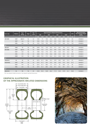|                                                                                        | Pattern     | <b>Approximate Inflated Dimensions</b><br><b>TRA</b><br><b>Star</b> |             |                  |      |           |      |           |      |                          | <b>OTD</b> | Recommended<br>Rim/Flange Height |       |           |
|----------------------------------------------------------------------------------------|-------------|---------------------------------------------------------------------|-------------|------------------|------|-----------|------|-----------|------|--------------------------|------------|----------------------------------|-------|-----------|
| Tyre size                                                                              |             | rating                                                              | <b>Type</b> | code             |      | <b>OD</b> |      | <b>OW</b> |      | <b>SLR</b><br><b>SLW</b> |            |                                  |       | (inch)    |
|                                                                                        |             |                                                                     |             |                  | mm   | inch      | mm   | inch      | mm   | inch                     | mm         | inch                             | mm    |           |
| 29.5 R25                                                                               | <b>VSNT</b> | $MS/\star \star$                                                    | T/L         | L4               | 1905 | 75        | 768  | 30,2      | 849  | 33,4                     | 835        | 32,9                             | 60    | 25.00/3.5 |
|                                                                                        | <b>VSDT</b> | $\star\star$                                                        | T/L         | L <sub>5</sub>   | 1903 | 74,9      | 779  | 30,7      | 845  | 33,3                     | 869        | 34,2                             | 96    | 25.00/3.5 |
|                                                                                        | <b>VSDL</b> | $\star\star$                                                        | T/L         | L <sub>5</sub>   | 1925 | 75,8      | 766  | 30,2      | 855  | 33,7                     | 846        | 33,3                             | 104   | 25.00/3.5 |
| 29"                                                                                    |             |                                                                     |             |                  |      |           |      |           |      |                          |            |                                  |       |           |
| 29.5-29                                                                                | <b>STMS</b> | 34                                                                  | T/L         | L <sub>5</sub> S | 2009 | 79,1      | 749  | 29,5      | 931  | 36,7                     | 792        | 31,2                             | 103   | 25.00/3.5 |
| 29.5 R29                                                                               | <b>VSNT</b> | $MS/\star \star$                                                    | T/L         | L4               | 2000 | 78,7      | 774  | 30,5      | 905  | 35,6                     | 849        | 34,6                             | 60    | 25.00/3.5 |
|                                                                                        | <b>VSDT</b> | $\star\star$                                                        | T/L         | L <sub>5</sub>   | 1989 | 78,3      | 779  | 30,7      | 883  | 34,8                     | 872        | 34,3                             | 96    | 25.00/3.5 |
|                                                                                        | <b>VSDL</b> | $\star\star$                                                        | T/L         | L5               | 2008 | 79,1      | 776  | 30,6      | 900  | 35,4                     | 856        | 33,7                             | 104,5 | 25.00/3.5 |
|                                                                                        | <b>VSMS</b> | $\star\star$                                                        | T/L         | L <sub>5</sub> S | 2008 | 79,1      | 773  | 30,4      | 912  | 35,9                     | 829        | 32,6                             | 104,5 | 25.00/3.5 |
| 33"                                                                                    |             |                                                                     |             |                  |      |           |      |           |      |                          |            |                                  |       |           |
| $35/65 - 33$                                                                           | <b>DL</b>   | 42                                                                  | T/L         | L <sub>5</sub>   | 2075 | 81,7      | 896  | 35,3      | 979  | 38,5                     | 945        | 37,2                             | 97    | 28.00/3.5 |
| 35/65 R33                                                                              | <b>VSNT</b> | $MT^*$                                                              | T/L         | L4               | 2075 | 81,7      | 904  | 35,6      | 936  | 36,9                     | 976        | 38,4                             | 62,5  | 28.00/3.5 |
|                                                                                        | <b>VSDT</b> | $\star\star$                                                        | T/L         | L <sub>5</sub>   | 2075 | 81,7      | 890  | 35        | 914  | 36                       | 990        | 39                               | 96    | 28.00/3.5 |
|                                                                                        | <b>VSDL</b> | $\star\star$                                                        | T/L         | L5               | 2075 | 81,7      | 880  | 34,6      | 917  | 36,1                     | 951        | 37,4                             | 95    | 28.00/3.5 |
| 39"                                                                                    |             |                                                                     |             |                  |      |           |      |           |      |                          |            |                                  |       |           |
| 40/65-39                                                                               | <b>DL</b>   | 56                                                                  | T/L         | L5               | 2420 | 95.3      | 1020 | 40,2      | 1112 | 43.8                     | 1070       | 42,1                             | 106,5 | 32.00/4.0 |
| *MT: 4 star rating for Shuttle truck service -2 star rating for Load Haul Dump service |             |                                                                     |             |                  |      |           |      |           |      |                          |            |                                  |       |           |

\*MT: 4 star rating for Shuttle truck service, 2 star rating for Load Haul Dump service.

#### **GRAPHICAL ILLUSTRATION OF THE APPROXIMATE INFLATED DIMENSIONS**